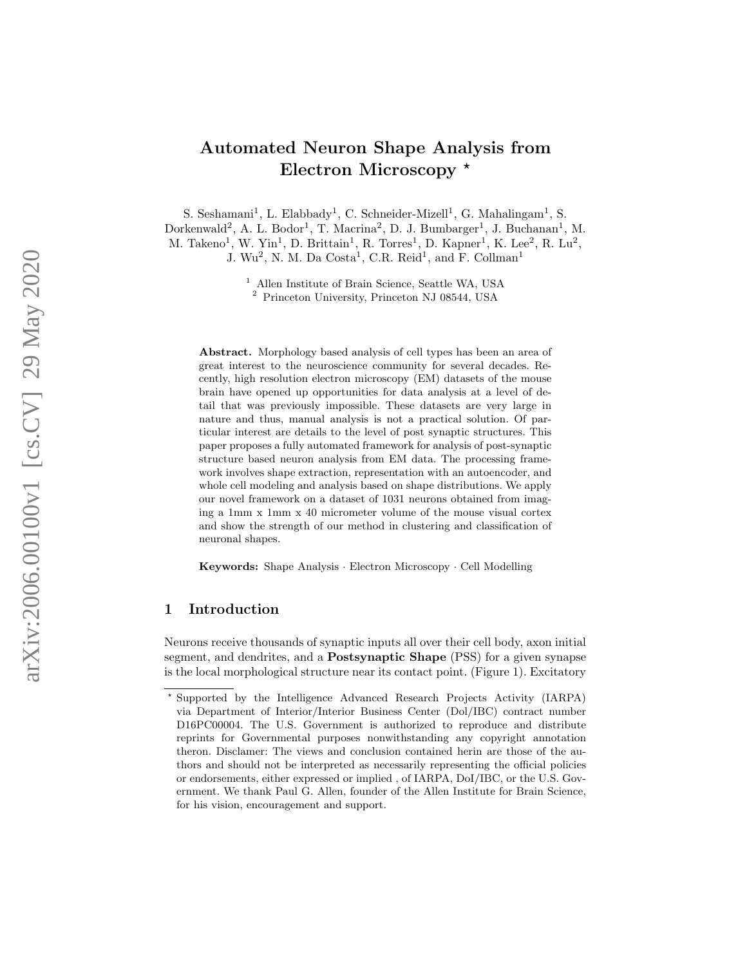# Automated Neuron Shape Analysis from Electron Microscopy \*

S. Seshamani<sup>1</sup>, L. Elabbady<sup>1</sup>, C. Schneider-Mizell<sup>1</sup>, G. Mahalingam<sup>1</sup>, S. Dorkenwald<sup>2</sup>, A. L. Bodor<sup>1</sup>, T. Macrina<sup>2</sup>, D. J. Bumbarger<sup>1</sup>, J. Buchanan<sup>1</sup>, M. M. Takeno<sup>1</sup>, W. Yin<sup>1</sup>, D. Brittain<sup>1</sup>, R. Torres<sup>1</sup>, D. Kapner<sup>1</sup>, K. Lee<sup>2</sup>, R. Lu<sup>2</sup>, J. Wu<sup>2</sup>, N. M. Da Costa<sup>1</sup>, C.R. Reid<sup>1</sup>, and F. Collman<sup>1</sup>

<sup>1</sup> Allen Institute of Brain Science, Seattle WA, USA

<sup>2</sup> Princeton University, Princeton NJ 08544, USA

Abstract. Morphology based analysis of cell types has been an area of great interest to the neuroscience community for several decades. Recently, high resolution electron microscopy (EM) datasets of the mouse brain have opened up opportunities for data analysis at a level of detail that was previously impossible. These datasets are very large in nature and thus, manual analysis is not a practical solution. Of particular interest are details to the level of post synaptic structures. This paper proposes a fully automated framework for analysis of post-synaptic structure based neuron analysis from EM data. The processing framework involves shape extraction, representation with an autoencoder, and whole cell modeling and analysis based on shape distributions. We apply our novel framework on a dataset of 1031 neurons obtained from imaging a 1mm x 1mm x 40 micrometer volume of the mouse visual cortex and show the strength of our method in clustering and classification of neuronal shapes.

Keywords: Shape Analysis · Electron Microscopy · Cell Modelling

## 1 Introduction

Neurons receive thousands of synaptic inputs all over their cell body, axon initial segment, and dendrites, and a **Postsynaptic Shape** (PSS) for a given synapse is the local morphological structure near its contact point. (Figure 1). Excitatory

<sup>?</sup> Supported by the Intelligence Advanced Research Projects Activity (IARPA) via Department of Interior/Interior Business Center (Dol/IBC) contract number D16PC00004. The U.S. Government is authorized to reproduce and distribute reprints for Governmental purposes nonwithstanding any copyright annotation theron. Disclamer: The views and conclusion contained herin are those of the authors and should not be interpreted as necessarily representing the official policies or endorsements, either expressed or implied , of IARPA, DoI/IBC, or the U.S. Government. We thank Paul G. Allen, founder of the Allen Institute for Brain Science, for his vision, encouragement and support.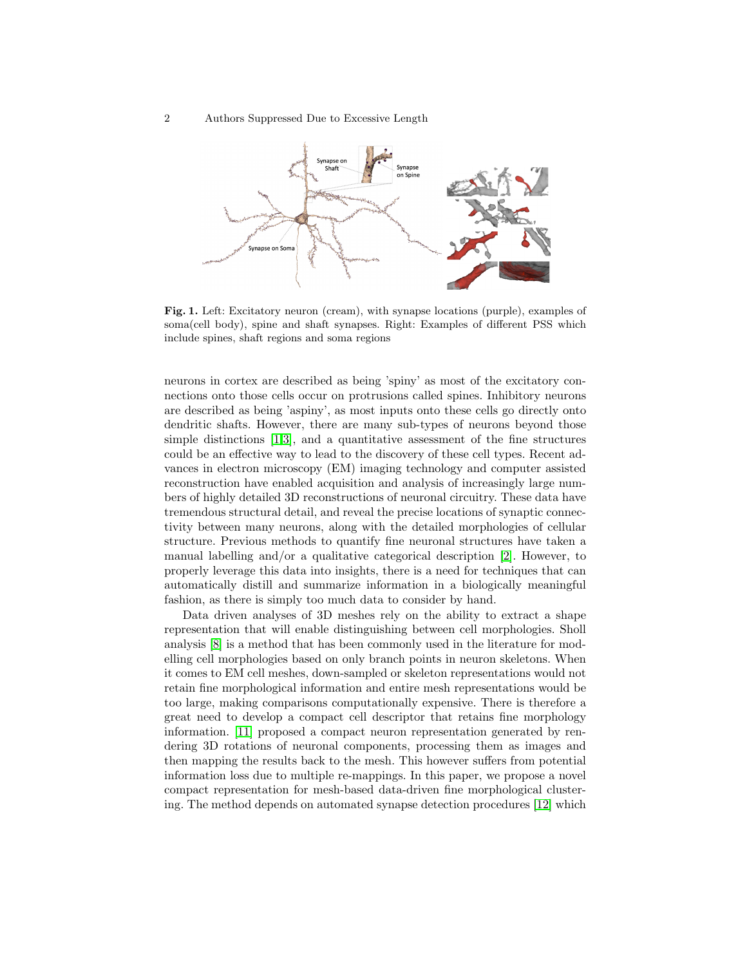2 Authors Suppressed Due to Excessive Length



Fig. 1. Left: Excitatory neuron (cream), with synapse locations (purple), examples of soma(cell body), spine and shaft synapses. Right: Examples of different PSS which include spines, shaft regions and soma regions

neurons in cortex are described as being 'spiny' as most of the excitatory connections onto those cells occur on protrusions called spines. Inhibitory neurons are described as being 'aspiny', as most inputs onto these cells go directly onto dendritic shafts. However, there are many sub-types of neurons beyond those simple distinctions  $[1,3]$  $[1,3]$ , and a quantitative assessment of the fine structures could be an effective way to lead to the discovery of these cell types. Recent advances in electron microscopy (EM) imaging technology and computer assisted reconstruction have enabled acquisition and analysis of increasingly large numbers of highly detailed 3D reconstructions of neuronal circuitry. These data have tremendous structural detail, and reveal the precise locations of synaptic connectivity between many neurons, along with the detailed morphologies of cellular structure. Previous methods to quantify fine neuronal structures have taken a manual labelling and/or a qualitative categorical description [\[2\]](#page-8-2). However, to properly leverage this data into insights, there is a need for techniques that can automatically distill and summarize information in a biologically meaningful fashion, as there is simply too much data to consider by hand.

Data driven analyses of 3D meshes rely on the ability to extract a shape representation that will enable distinguishing between cell morphologies. Sholl analysis [\[8\]](#page-8-3) is a method that has been commonly used in the literature for modelling cell morphologies based on only branch points in neuron skeletons. When it comes to EM cell meshes, down-sampled or skeleton representations would not retain fine morphological information and entire mesh representations would be too large, making comparisons computationally expensive. There is therefore a great need to develop a compact cell descriptor that retains fine morphology information. [\[11\]](#page-8-4) proposed a compact neuron representation generated by rendering 3D rotations of neuronal components, processing them as images and then mapping the results back to the mesh. This however suffers from potential information loss due to multiple re-mappings. In this paper, we propose a novel compact representation for mesh-based data-driven fine morphological clustering. The method depends on automated synapse detection procedures [\[12\]](#page-8-5) which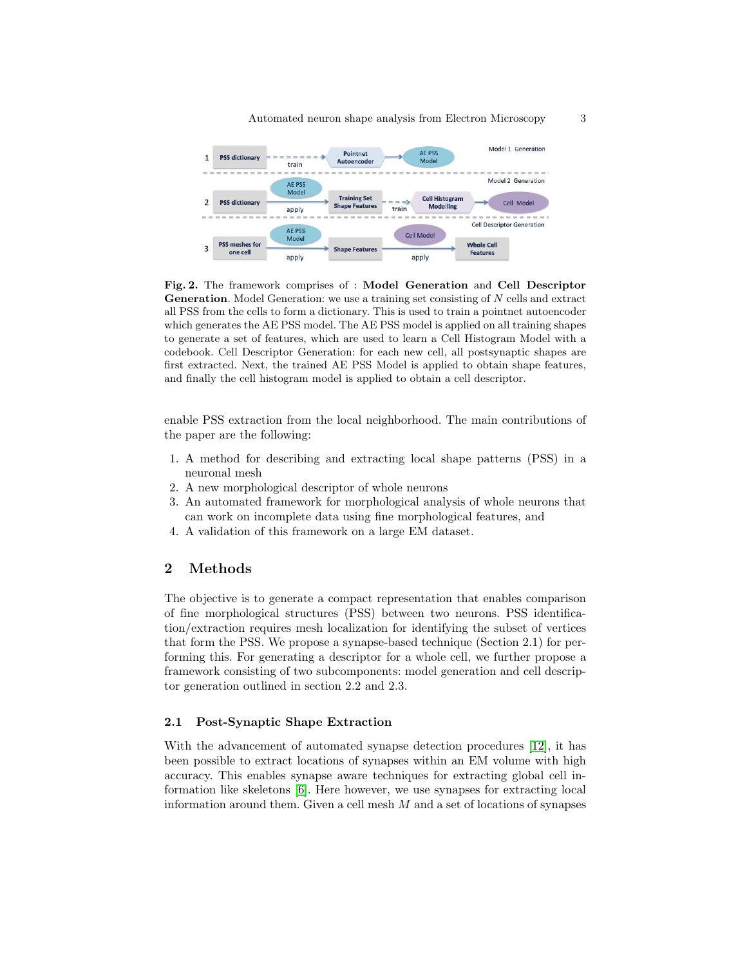



Fig. 2. The framework comprises of : Model Generation and Cell Descriptor Generation. Model Generation: we use a training set consisting of N cells and extract all PSS from the cells to form a dictionary. This is used to train a pointnet autoencoder which generates the AE PSS model. The AE PSS model is applied on all training shapes to generate a set of features, which are used to learn a Cell Histogram Model with a codebook. Cell Descriptor Generation: for each new cell, all postsynaptic shapes are first extracted. Next, the trained AE PSS Model is applied to obtain shape features, and finally the cell histogram model is applied to obtain a cell descriptor.

enable PSS extraction from the local neighborhood. The main contributions of the paper are the following:

- 1. A method for describing and extracting local shape patterns (PSS) in a neuronal mesh
- 2. A new morphological descriptor of whole neurons
- 3. An automated framework for morphological analysis of whole neurons that can work on incomplete data using fine morphological features, and
- 4. A validation of this framework on a large EM dataset.

#### 2 Methods

The objective is to generate a compact representation that enables comparison of fine morphological structures (PSS) between two neurons. PSS identification/extraction requires mesh localization for identifying the subset of vertices that form the PSS. We propose a synapse-based technique (Section 2.1) for performing this. For generating a descriptor for a whole cell, we further propose a framework consisting of two subcomponents: model generation and cell descriptor generation outlined in section 2.2 and 2.3.

#### 2.1 Post-Synaptic Shape Extraction

With the advancement of automated synapse detection procedures [\[12\]](#page-8-5), it has been possible to extract locations of synapses within an EM volume with high accuracy. This enables synapse aware techniques for extracting global cell information like skeletons [\[6\]](#page-8-6). Here however, we use synapses for extracting local information around them. Given a cell mesh  $M$  and a set of locations of synapses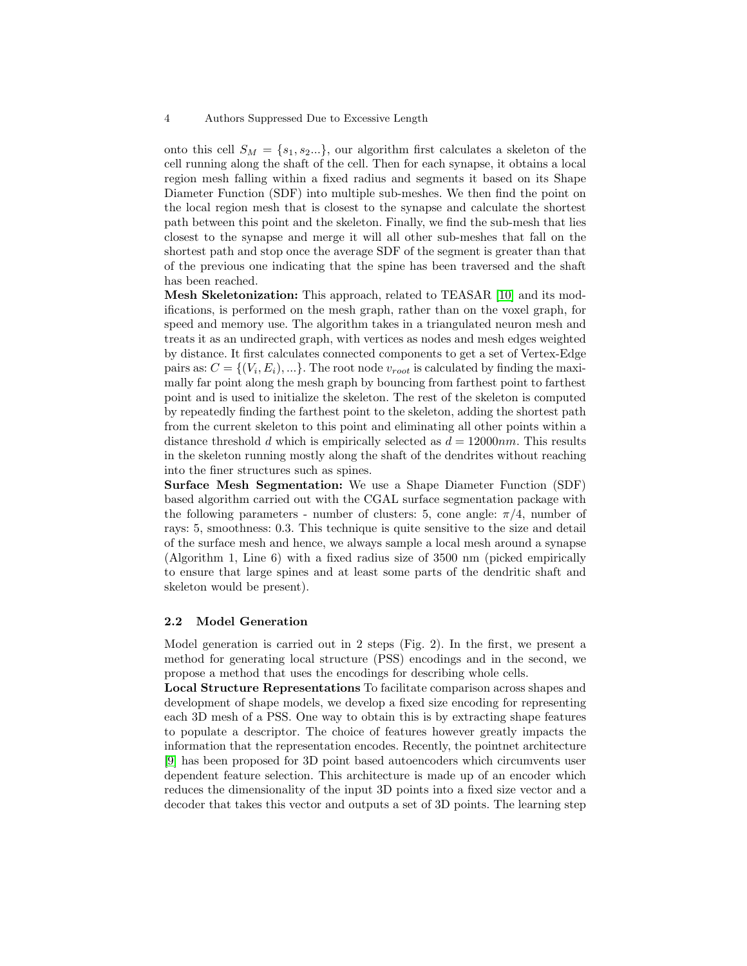onto this cell  $S_M = \{s_1, s_2...\}$ , our algorithm first calculates a skeleton of the cell running along the shaft of the cell. Then for each synapse, it obtains a local region mesh falling within a fixed radius and segments it based on its Shape Diameter Function (SDF) into multiple sub-meshes. We then find the point on the local region mesh that is closest to the synapse and calculate the shortest path between this point and the skeleton. Finally, we find the sub-mesh that lies closest to the synapse and merge it will all other sub-meshes that fall on the shortest path and stop once the average SDF of the segment is greater than that of the previous one indicating that the spine has been traversed and the shaft has been reached.

Mesh Skeletonization: This approach, related to TEASAR [\[10\]](#page-8-7) and its modifications, is performed on the mesh graph, rather than on the voxel graph, for speed and memory use. The algorithm takes in a triangulated neuron mesh and treats it as an undirected graph, with vertices as nodes and mesh edges weighted by distance. It first calculates connected components to get a set of Vertex-Edge pairs as:  $C = \{(V_i, E_i), ...\}$ . The root node  $v_{root}$  is calculated by finding the maximally far point along the mesh graph by bouncing from farthest point to farthest point and is used to initialize the skeleton. The rest of the skeleton is computed by repeatedly finding the farthest point to the skeleton, adding the shortest path from the current skeleton to this point and eliminating all other points within a distance threshold d which is empirically selected as  $d = 12000nm$ . This results in the skeleton running mostly along the shaft of the dendrites without reaching into the finer structures such as spines.

Surface Mesh Segmentation: We use a Shape Diameter Function (SDF) based algorithm carried out with the CGAL surface segmentation package with the following parameters - number of clusters: 5, cone angle:  $\pi/4$ , number of rays: 5, smoothness: 0.3. This technique is quite sensitive to the size and detail of the surface mesh and hence, we always sample a local mesh around a synapse (Algorithm 1, Line 6) with a fixed radius size of 3500 nm (picked empirically to ensure that large spines and at least some parts of the dendritic shaft and skeleton would be present).

#### 2.2 Model Generation

Model generation is carried out in 2 steps (Fig. 2). In the first, we present a method for generating local structure (PSS) encodings and in the second, we propose a method that uses the encodings for describing whole cells.

Local Structure Representations To facilitate comparison across shapes and development of shape models, we develop a fixed size encoding for representing each 3D mesh of a PSS. One way to obtain this is by extracting shape features to populate a descriptor. The choice of features however greatly impacts the information that the representation encodes. Recently, the pointnet architecture [\[9\]](#page-8-8) has been proposed for 3D point based autoencoders which circumvents user dependent feature selection. This architecture is made up of an encoder which reduces the dimensionality of the input 3D points into a fixed size vector and a decoder that takes this vector and outputs a set of 3D points. The learning step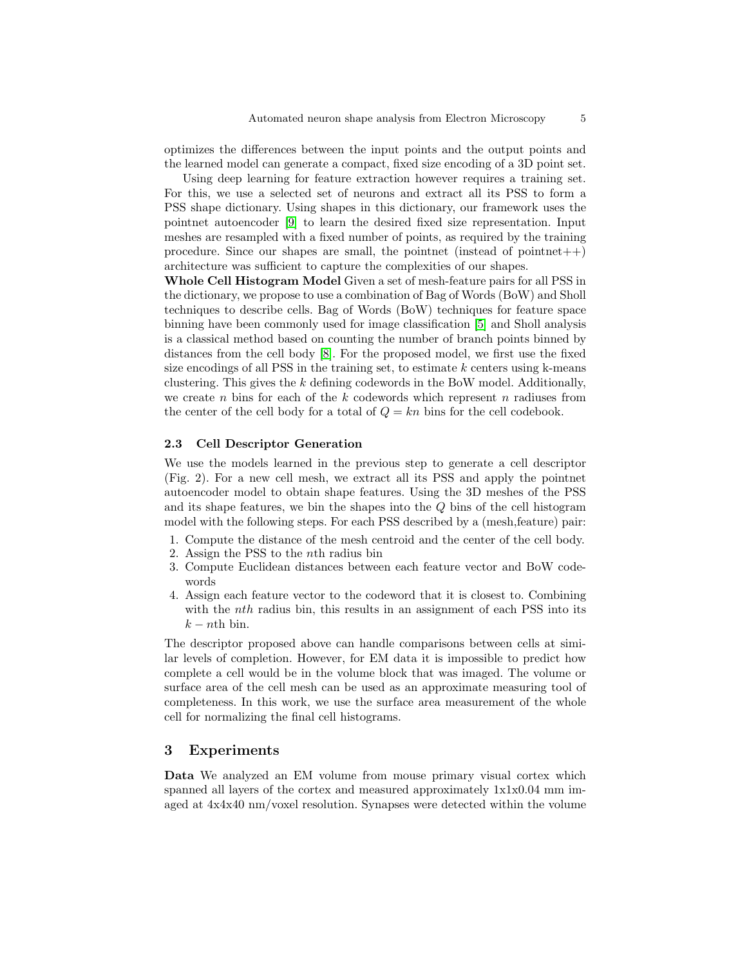optimizes the differences between the input points and the output points and the learned model can generate a compact, fixed size encoding of a 3D point set.

Using deep learning for feature extraction however requires a training set. For this, we use a selected set of neurons and extract all its PSS to form a PSS shape dictionary. Using shapes in this dictionary, our framework uses the pointnet autoencoder [\[9\]](#page-8-8) to learn the desired fixed size representation. Input meshes are resampled with a fixed number of points, as required by the training procedure. Since our shapes are small, the pointnet (instead of pointnet $++$ ) architecture was sufficient to capture the complexities of our shapes.

Whole Cell Histogram Model Given a set of mesh-feature pairs for all PSS in the dictionary, we propose to use a combination of Bag of Words (BoW) and Sholl techniques to describe cells. Bag of Words (BoW) techniques for feature space binning have been commonly used for image classification [\[5\]](#page-8-9) and Sholl analysis is a classical method based on counting the number of branch points binned by distances from the cell body [\[8\]](#page-8-3). For the proposed model, we first use the fixed size encodings of all PSS in the training set, to estimate  $k$  centers using k-means clustering. This gives the  $k$  defining codewords in the BoW model. Additionally, we create n bins for each of the k codewords which represent n radiuses from the center of the cell body for a total of  $Q = kn$  bins for the cell codebook.

#### 2.3 Cell Descriptor Generation

We use the models learned in the previous step to generate a cell descriptor (Fig. 2). For a new cell mesh, we extract all its PSS and apply the pointnet autoencoder model to obtain shape features. Using the 3D meshes of the PSS and its shape features, we bin the shapes into the  $Q$  bins of the cell histogram model with the following steps. For each PSS described by a (mesh,feature) pair:

- 1. Compute the distance of the mesh centroid and the center of the cell body.
- 2. Assign the PSS to the nth radius bin
- 3. Compute Euclidean distances between each feature vector and BoW codewords
- 4. Assign each feature vector to the codeword that it is closest to. Combining with the *nth* radius bin, this results in an assignment of each PSS into its  $k - n$ th bin.

The descriptor proposed above can handle comparisons between cells at similar levels of completion. However, for EM data it is impossible to predict how complete a cell would be in the volume block that was imaged. The volume or surface area of the cell mesh can be used as an approximate measuring tool of completeness. In this work, we use the surface area measurement of the whole cell for normalizing the final cell histograms.

### 3 Experiments

Data We analyzed an EM volume from mouse primary visual cortex which spanned all layers of the cortex and measured approximately 1x1x0.04 mm imaged at 4x4x40 nm/voxel resolution. Synapses were detected within the volume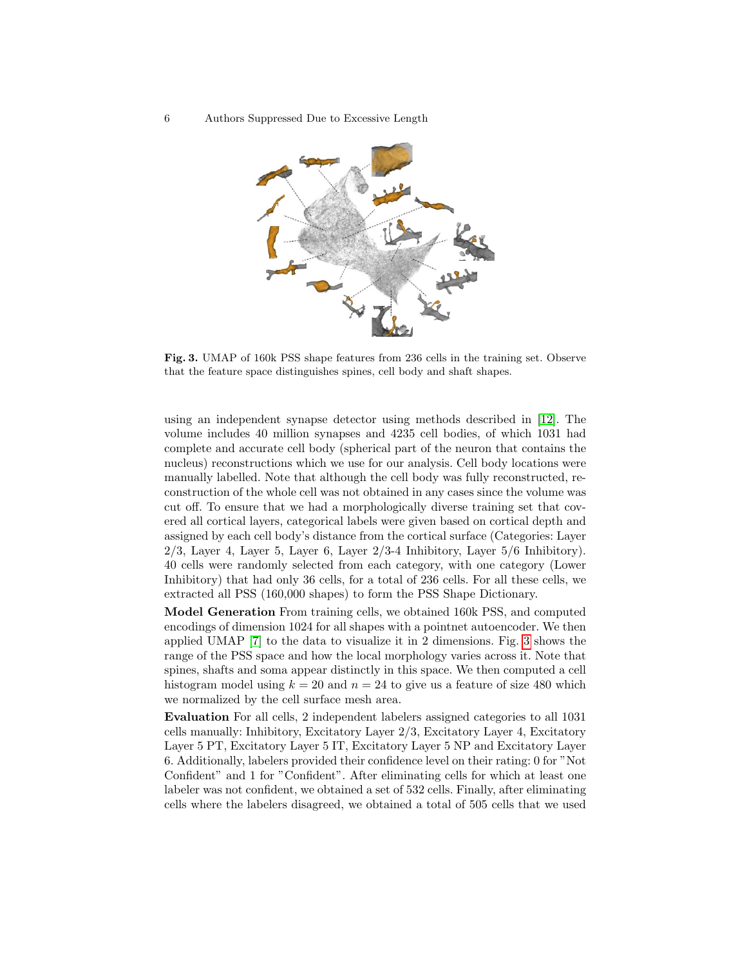6 Authors Suppressed Due to Excessive Length



<span id="page-5-0"></span>Fig. 3. UMAP of 160k PSS shape features from 236 cells in the training set. Observe that the feature space distinguishes spines, cell body and shaft shapes.

using an independent synapse detector using methods described in [\[12\]](#page-8-5). The volume includes 40 million synapses and 4235 cell bodies, of which 1031 had complete and accurate cell body (spherical part of the neuron that contains the nucleus) reconstructions which we use for our analysis. Cell body locations were manually labelled. Note that although the cell body was fully reconstructed, reconstruction of the whole cell was not obtained in any cases since the volume was cut off. To ensure that we had a morphologically diverse training set that covered all cortical layers, categorical labels were given based on cortical depth and assigned by each cell body's distance from the cortical surface (Categories: Layer  $2/3$ , Layer 4, Layer 5, Layer 6, Layer  $2/3$ -4 Inhibitory, Layer  $5/6$  Inhibitory). 40 cells were randomly selected from each category, with one category (Lower Inhibitory) that had only 36 cells, for a total of 236 cells. For all these cells, we extracted all PSS (160,000 shapes) to form the PSS Shape Dictionary.

Model Generation From training cells, we obtained 160k PSS, and computed encodings of dimension 1024 for all shapes with a pointnet autoencoder. We then applied UMAP [\[7\]](#page-8-10) to the data to visualize it in 2 dimensions. Fig. [3](#page-5-0) shows the range of the PSS space and how the local morphology varies across it. Note that spines, shafts and soma appear distinctly in this space. We then computed a cell histogram model using  $k = 20$  and  $n = 24$  to give us a feature of size 480 which we normalized by the cell surface mesh area.

Evaluation For all cells, 2 independent labelers assigned categories to all 1031 cells manually: Inhibitory, Excitatory Layer 2/3, Excitatory Layer 4, Excitatory Layer 5 PT, Excitatory Layer 5 IT, Excitatory Layer 5 NP and Excitatory Layer 6. Additionally, labelers provided their confidence level on their rating: 0 for "Not Confident" and 1 for "Confident". After eliminating cells for which at least one labeler was not confident, we obtained a set of 532 cells. Finally, after eliminating cells where the labelers disagreed, we obtained a total of 505 cells that we used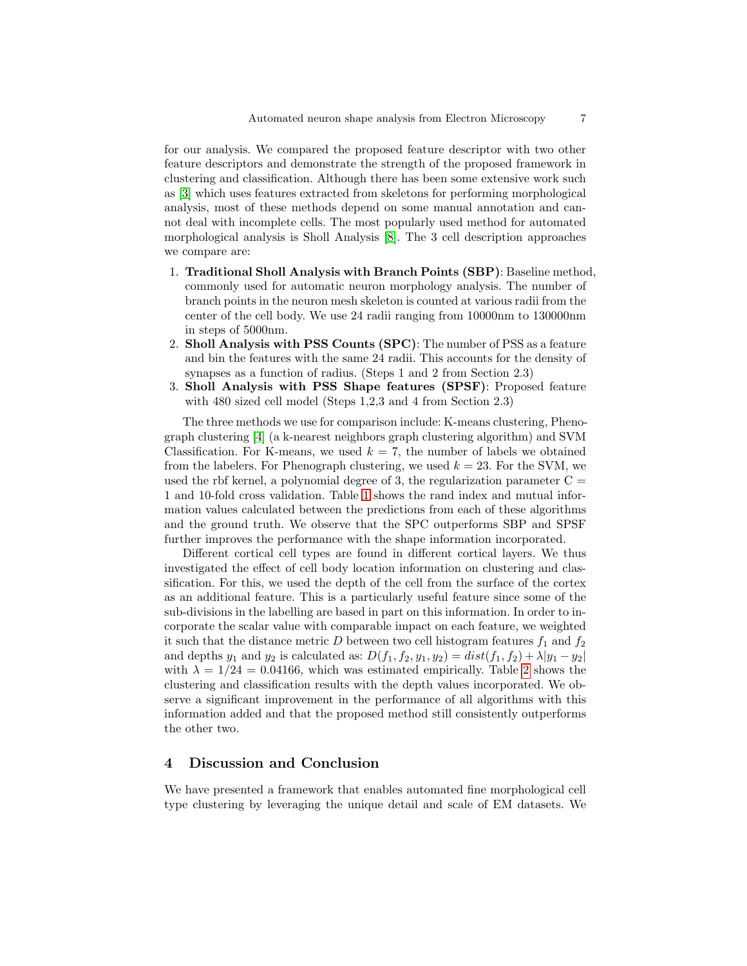for our analysis. We compared the proposed feature descriptor with two other feature descriptors and demonstrate the strength of the proposed framework in clustering and classification. Although there has been some extensive work such as [\[3\]](#page-8-1) which uses features extracted from skeletons for performing morphological analysis, most of these methods depend on some manual annotation and cannot deal with incomplete cells. The most popularly used method for automated morphological analysis is Sholl Analysis [\[8\]](#page-8-3). The 3 cell description approaches we compare are:

- 1. Traditional Sholl Analysis with Branch Points (SBP): Baseline method, commonly used for automatic neuron morphology analysis. The number of branch points in the neuron mesh skeleton is counted at various radii from the center of the cell body. We use 24 radii ranging from 10000nm to 130000nm in steps of 5000nm.
- 2. Sholl Analysis with PSS Counts (SPC): The number of PSS as a feature and bin the features with the same 24 radii. This accounts for the density of synapses as a function of radius. (Steps 1 and 2 from Section 2.3)
- 3. Sholl Analysis with PSS Shape features (SPSF): Proposed feature with 480 sized cell model (Steps 1,2,3 and 4 from Section 2.3)

The three methods we use for comparison include: K-means clustering, Phenograph clustering [\[4\]](#page-8-11) (a k-nearest neighbors graph clustering algorithm) and SVM Classification. For K-means, we used  $k = 7$ , the number of labels we obtained from the labelers. For Phenograph clustering, we used  $k = 23$ . For the SVM, we used the rbf kernel, a polynomial degree of 3, the regularization parameter  $C =$ 1 and 10-fold cross validation. Table [1](#page-7-0) shows the rand index and mutual information values calculated between the predictions from each of these algorithms and the ground truth. We observe that the SPC outperforms SBP and SPSF further improves the performance with the shape information incorporated.

Different cortical cell types are found in different cortical layers. We thus investigated the effect of cell body location information on clustering and classification. For this, we used the depth of the cell from the surface of the cortex as an additional feature. This is a particularly useful feature since some of the sub-divisions in the labelling are based in part on this information. In order to incorporate the scalar value with comparable impact on each feature, we weighted it such that the distance metric  $D$  between two cell histogram features  $f_1$  and  $f_2$ and depths  $y_1$  and  $y_2$  is calculated as:  $D(f_1, f_2, y_1, y_2) = dist(f_1, f_2) + \lambda |y_1 - y_2|$ with  $\lambda = 1/24 = 0.04166$ , which was estimated empirically. Table [2](#page-7-1) shows the clustering and classification results with the depth values incorporated. We observe a significant improvement in the performance of all algorithms with this information added and that the proposed method still consistently outperforms the other two.

## 4 Discussion and Conclusion

We have presented a framework that enables automated fine morphological cell type clustering by leveraging the unique detail and scale of EM datasets. We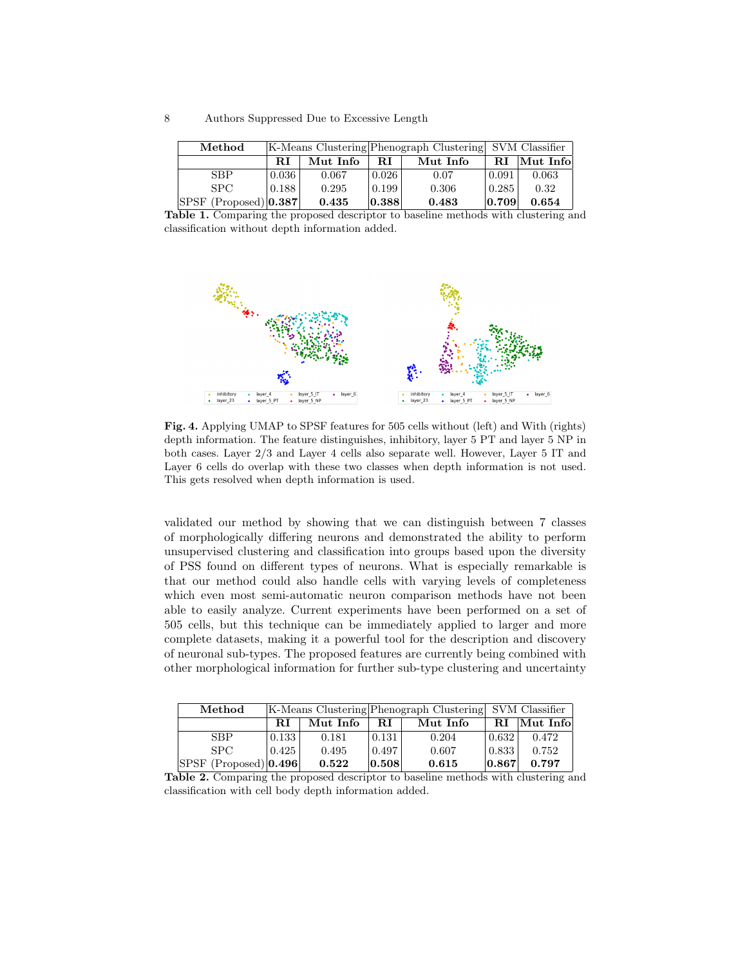| Method                        | [K-Means Clustering] Phenograph Clustering] SVM Classifier |          |       |          |                |          |  |
|-------------------------------|------------------------------------------------------------|----------|-------|----------|----------------|----------|--|
|                               | RI                                                         | Mut Info | RI.   | Mut Info | RI.            | Mut Info |  |
| <b>SBP</b>                    | 0.036                                                      | 0.067    | 0.026 | 0.07     | 0.091          | 0.063    |  |
| SPC.                          | 0.188                                                      | 0.295    | 0.199 | 0.306    | $\sqrt{0.285}$ | 0.32     |  |
| $ SPSF $ (Proposed) $ 0.387 $ |                                                            | 0.435    | 0.388 | 0.483    | 0.709          | 0.654    |  |

<span id="page-7-0"></span>Table 1. Comparing the proposed descriptor to baseline methods with clustering and classification without depth information added.



Fig. 4. Applying UMAP to SPSF features for 505 cells without (left) and With (rights) depth information. The feature distinguishes, inhibitory, layer 5 PT and layer 5 NP in both cases. Layer 2/3 and Layer 4 cells also separate well. However, Layer 5 IT and Layer 6 cells do overlap with these two classes when depth information is not used. This gets resolved when depth information is used.

validated our method by showing that we can distinguish between 7 classes of morphologically differing neurons and demonstrated the ability to perform unsupervised clustering and classification into groups based upon the diversity of PSS found on different types of neurons. What is especially remarkable is that our method could also handle cells with varying levels of completeness which even most semi-automatic neuron comparison methods have not been able to easily analyze. Current experiments have been performed on a set of 505 cells, but this technique can be immediately applied to larger and more complete datasets, making it a powerful tool for the description and discovery of neuronal sub-types. The proposed features are currently being combined with other morphological information for further sub-type clustering and uncertainty

| Method                        | [K-Means Clustering] Phenograph Clustering] SVM Classifier |          |       |          |                     |          |  |
|-------------------------------|------------------------------------------------------------|----------|-------|----------|---------------------|----------|--|
|                               | R.I                                                        | Mut Info | RT.   | Mut Info | RI                  | Mut Info |  |
| <b>SBP</b>                    | 0.133                                                      | 0.181    | 0.131 | 0.204    | 0.632               | 0.472    |  |
| SPC.                          | 0.425                                                      | 0.495    | 0.497 | 0.607    | 0.833               | 0.752    |  |
| $ SPSF $ (Proposed) $ 0.496 $ |                                                            | 0.522    | 0.508 | 0.615    | $\vert 0.867 \vert$ | 0.797    |  |

<span id="page-7-1"></span>Table 2. Comparing the proposed descriptor to baseline methods with clustering and classification with cell body depth information added.